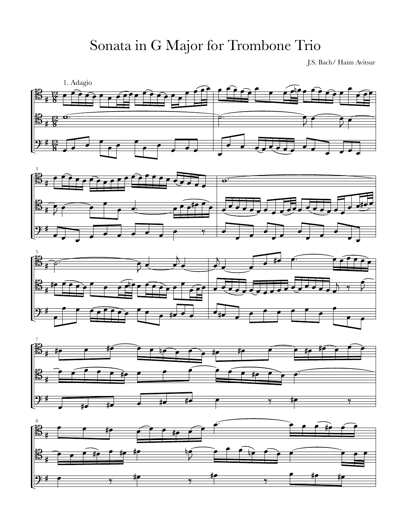## Sonata in G Major for Trombone Trio

J.S. Bach/Haim Avitsur

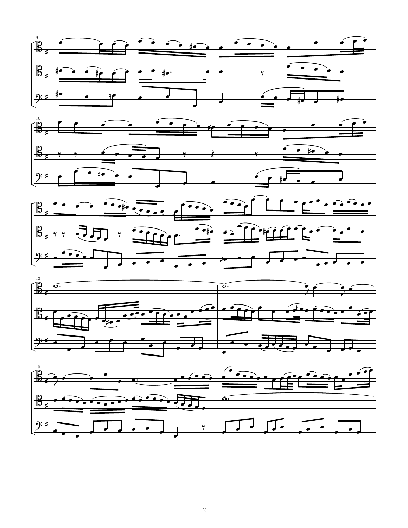







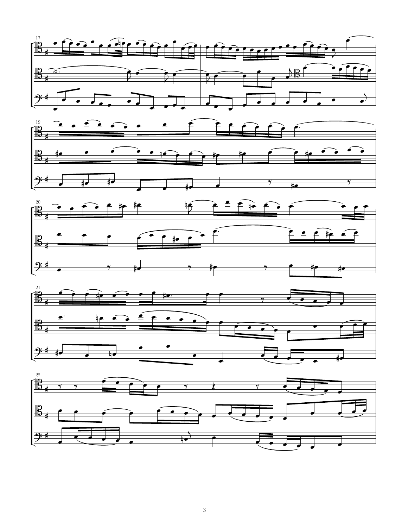







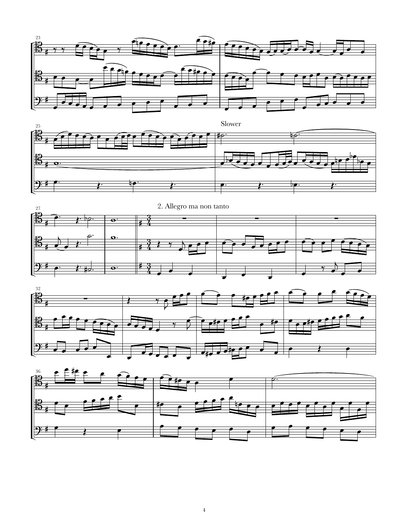







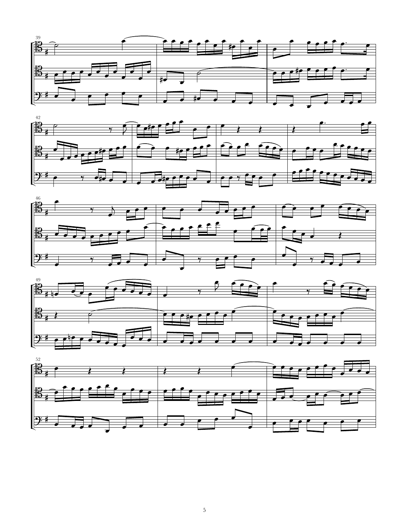







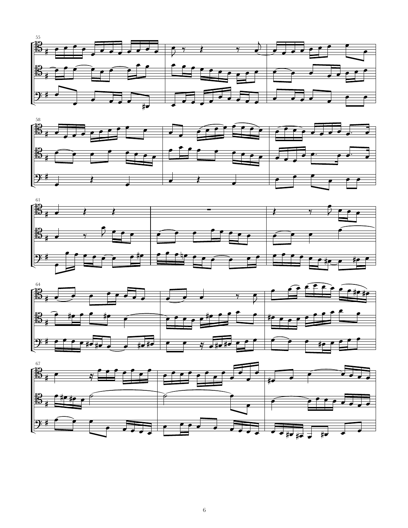







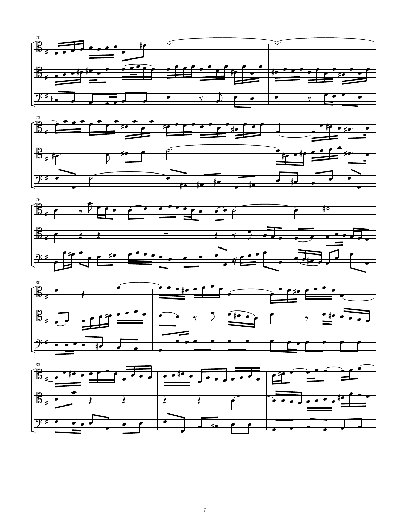







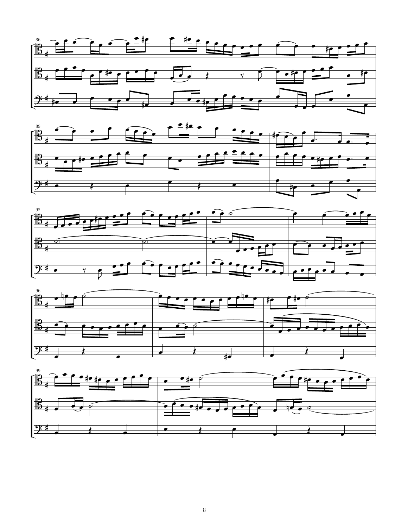







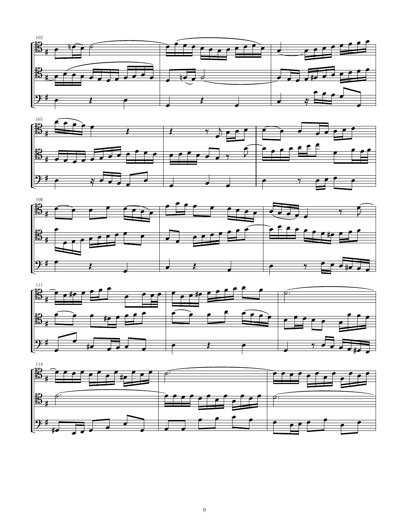









 $\boldsymbol{9}$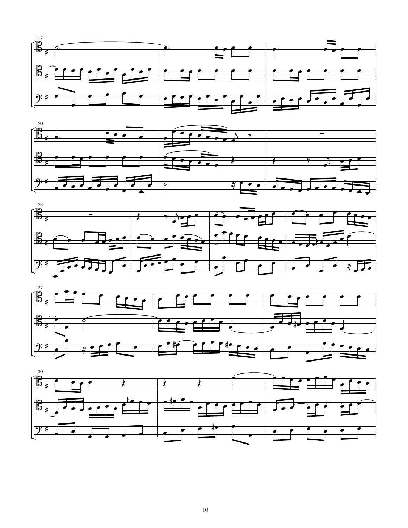







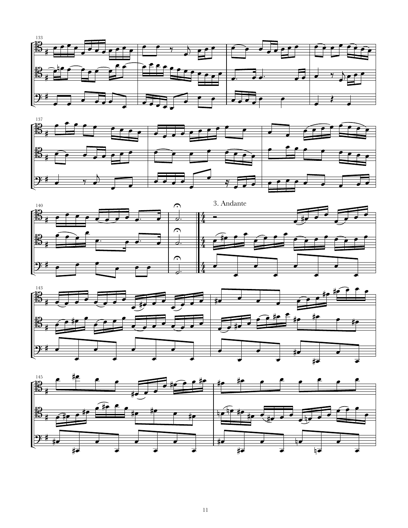







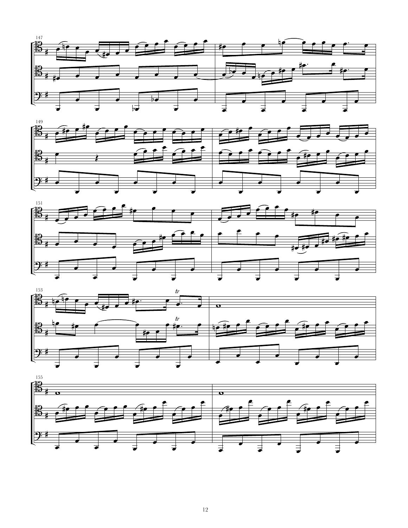







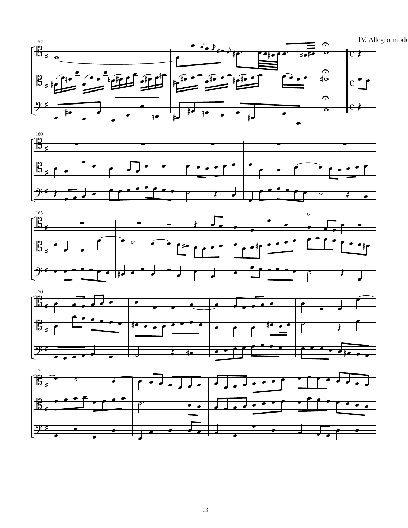









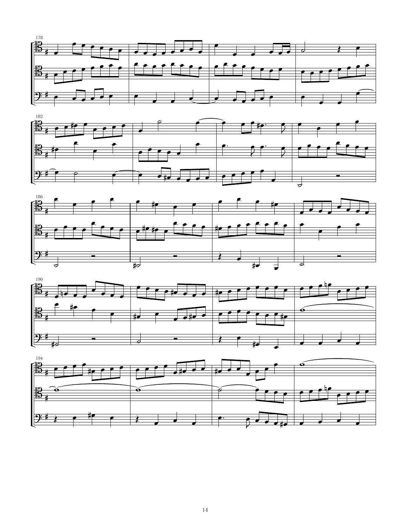







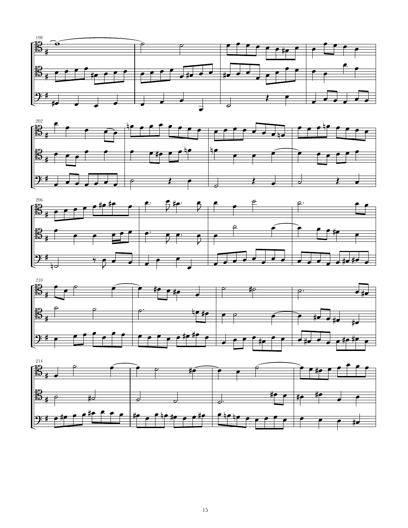







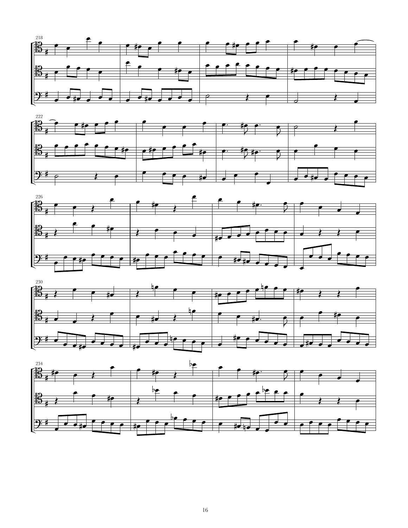







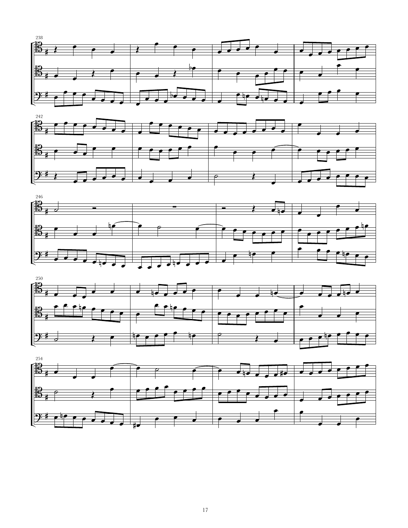







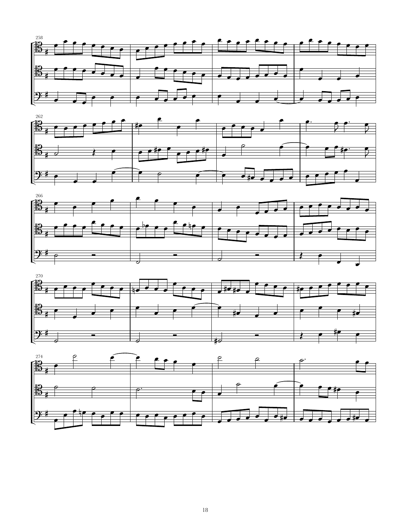







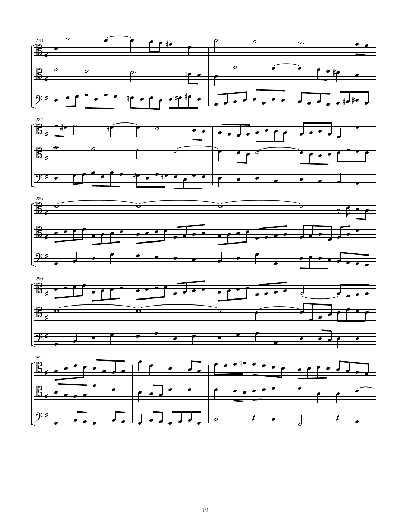





![](_page_18_Figure_3.jpeg)

![](_page_18_Figure_4.jpeg)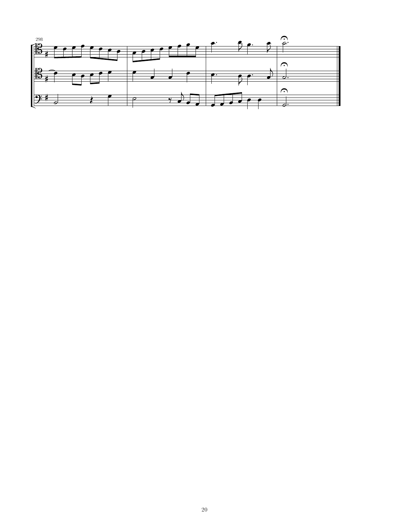![](_page_19_Figure_0.jpeg)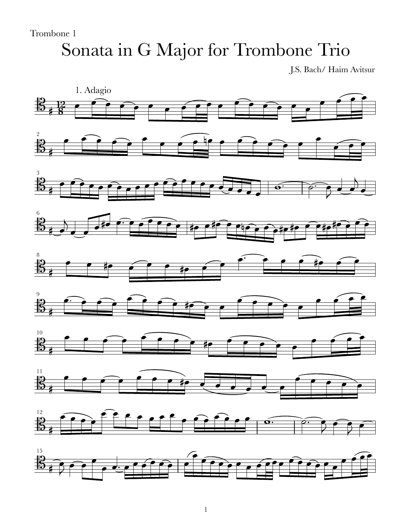Trombone 1

Sonata in G Major for Trombone Trio

J.S. Bach/ Haim Avitsur

![](_page_20_Figure_3.jpeg)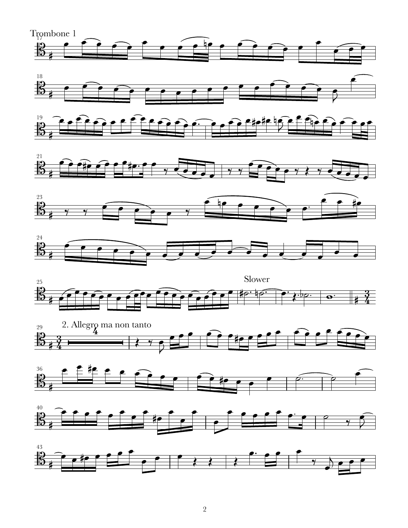![](_page_21_Figure_0.jpeg)

![](_page_21_Figure_1.jpeg)

![](_page_21_Figure_2.jpeg)

![](_page_21_Figure_3.jpeg)

![](_page_21_Figure_4.jpeg)

![](_page_21_Figure_5.jpeg)

![](_page_21_Figure_6.jpeg)

![](_page_21_Figure_7.jpeg)

![](_page_21_Figure_8.jpeg)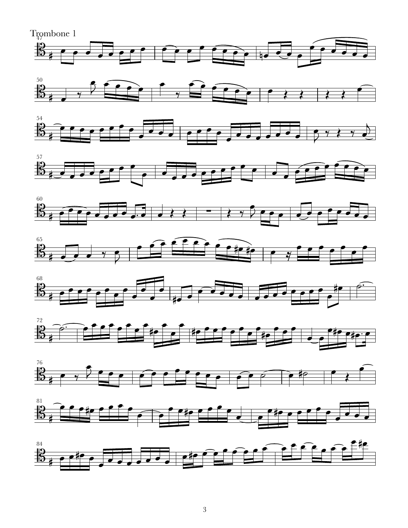![](_page_22_Figure_0.jpeg)

![](_page_22_Figure_1.jpeg)

![](_page_22_Figure_2.jpeg)

![](_page_22_Figure_3.jpeg)

![](_page_22_Figure_4.jpeg)

![](_page_22_Figure_5.jpeg)

![](_page_22_Figure_6.jpeg)

![](_page_22_Figure_7.jpeg)

![](_page_22_Figure_8.jpeg)

![](_page_22_Figure_9.jpeg)

![](_page_22_Figure_10.jpeg)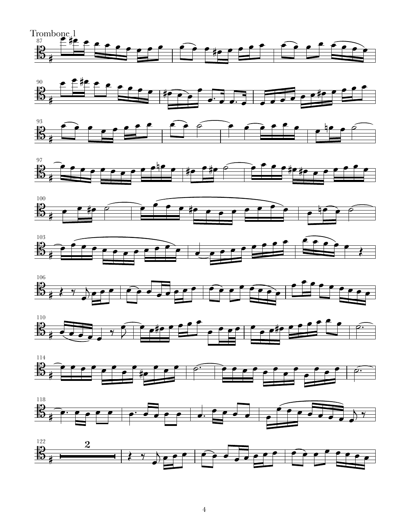![](_page_23_Figure_0.jpeg)

![](_page_23_Figure_1.jpeg)

![](_page_23_Figure_2.jpeg)

![](_page_23_Figure_3.jpeg)

![](_page_23_Figure_4.jpeg)

![](_page_23_Figure_5.jpeg)

![](_page_23_Figure_6.jpeg)

![](_page_23_Figure_7.jpeg)

![](_page_23_Figure_8.jpeg)

![](_page_23_Figure_9.jpeg)

![](_page_23_Figure_10.jpeg)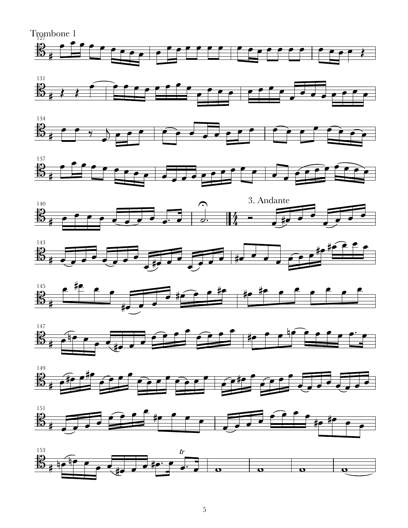![](_page_24_Figure_0.jpeg)

![](_page_24_Figure_1.jpeg)

![](_page_24_Figure_2.jpeg)

![](_page_24_Figure_3.jpeg)

![](_page_24_Figure_4.jpeg)

![](_page_24_Figure_5.jpeg)

![](_page_24_Figure_6.jpeg)

![](_page_24_Figure_7.jpeg)

![](_page_24_Figure_8.jpeg)

![](_page_24_Figure_9.jpeg)

![](_page_24_Figure_10.jpeg)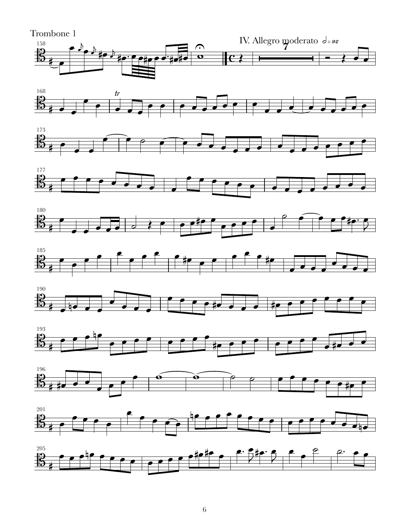![](_page_25_Figure_0.jpeg)

![](_page_25_Figure_1.jpeg)

![](_page_25_Figure_2.jpeg)

![](_page_25_Figure_3.jpeg)

![](_page_25_Figure_4.jpeg)

![](_page_25_Figure_5.jpeg)

![](_page_25_Figure_6.jpeg)

![](_page_25_Figure_7.jpeg)

![](_page_25_Figure_8.jpeg)

![](_page_25_Figure_9.jpeg)

![](_page_25_Figure_10.jpeg)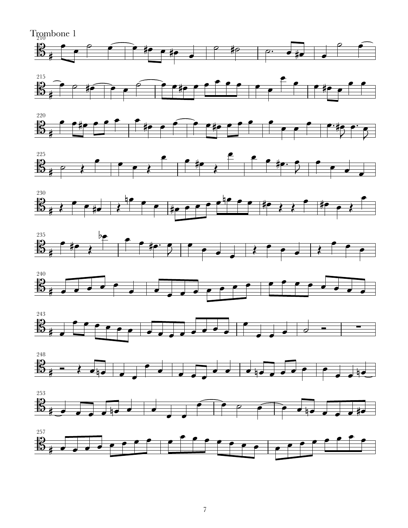![](_page_26_Figure_0.jpeg)

![](_page_26_Figure_1.jpeg)

![](_page_26_Figure_2.jpeg)

![](_page_26_Figure_3.jpeg)

![](_page_26_Figure_4.jpeg)

![](_page_26_Figure_5.jpeg)

![](_page_26_Figure_6.jpeg)

![](_page_26_Figure_7.jpeg)

![](_page_26_Figure_8.jpeg)

![](_page_26_Figure_9.jpeg)

![](_page_26_Figure_10.jpeg)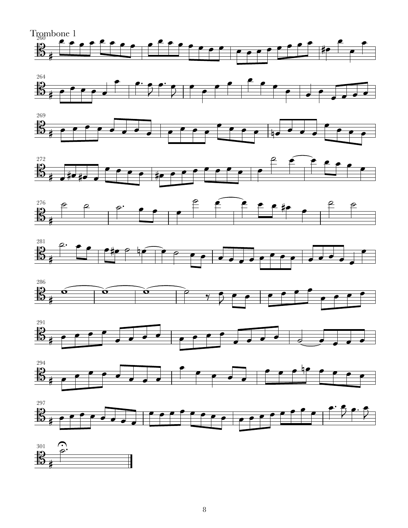![](_page_27_Figure_0.jpeg)

![](_page_27_Figure_1.jpeg)

![](_page_27_Figure_2.jpeg)

![](_page_27_Figure_3.jpeg)

![](_page_27_Figure_4.jpeg)

![](_page_27_Figure_5.jpeg)

![](_page_27_Figure_6.jpeg)

![](_page_27_Figure_7.jpeg)

![](_page_27_Figure_8.jpeg)

![](_page_27_Figure_9.jpeg)

![](_page_27_Figure_10.jpeg)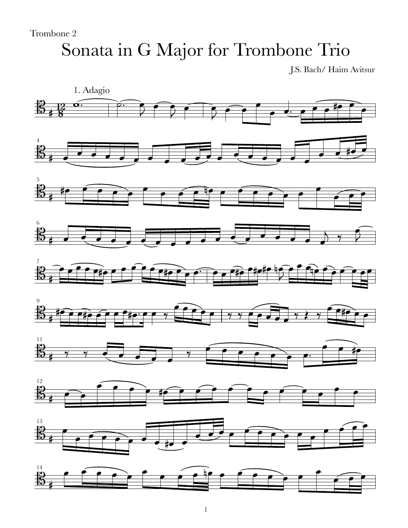Trombone 2

Sonata in G Major for Trombone Trio

J.S. Bach/ Haim Avitsur

![](_page_28_Figure_3.jpeg)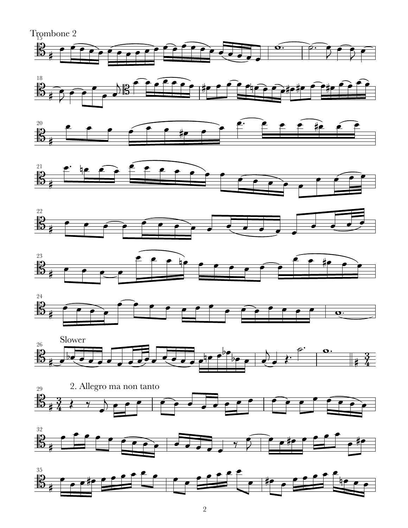![](_page_29_Figure_0.jpeg)

![](_page_29_Figure_1.jpeg)

![](_page_29_Figure_2.jpeg)

![](_page_29_Figure_3.jpeg)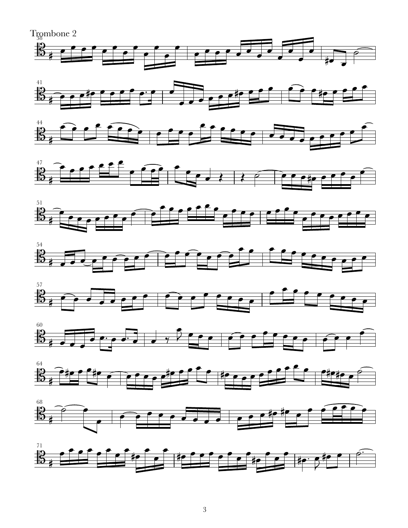![](_page_30_Figure_0.jpeg)

![](_page_30_Figure_1.jpeg)

![](_page_30_Figure_2.jpeg)

![](_page_30_Figure_3.jpeg)

![](_page_30_Figure_4.jpeg)

![](_page_30_Figure_5.jpeg)

![](_page_30_Figure_6.jpeg)

![](_page_30_Figure_7.jpeg)

![](_page_30_Figure_8.jpeg)

![](_page_30_Figure_9.jpeg)

![](_page_30_Figure_10.jpeg)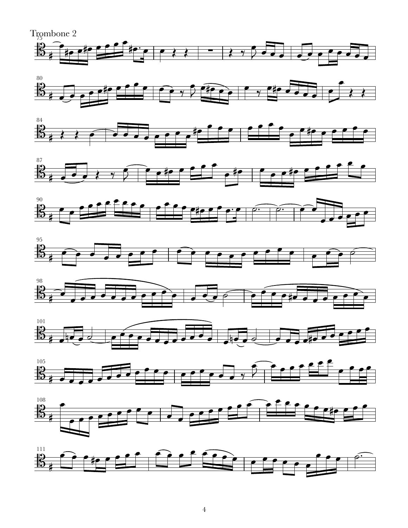![](_page_31_Figure_0.jpeg)

![](_page_31_Figure_1.jpeg)

![](_page_31_Figure_2.jpeg)

![](_page_31_Figure_3.jpeg)

![](_page_31_Figure_4.jpeg)

![](_page_31_Figure_5.jpeg)

![](_page_31_Figure_6.jpeg)

![](_page_31_Figure_7.jpeg)

![](_page_31_Figure_8.jpeg)

![](_page_31_Figure_9.jpeg)

![](_page_31_Figure_10.jpeg)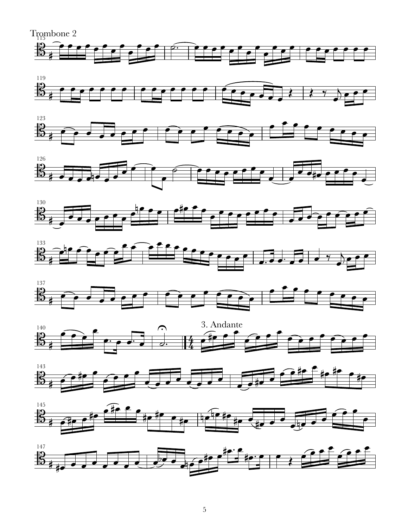![](_page_32_Figure_0.jpeg)

![](_page_32_Figure_1.jpeg)

![](_page_32_Figure_2.jpeg)

![](_page_32_Figure_3.jpeg)

![](_page_32_Figure_4.jpeg)

![](_page_32_Figure_5.jpeg)

![](_page_32_Figure_6.jpeg)

![](_page_32_Figure_7.jpeg)

![](_page_32_Figure_8.jpeg)

![](_page_32_Figure_9.jpeg)

![](_page_32_Figure_10.jpeg)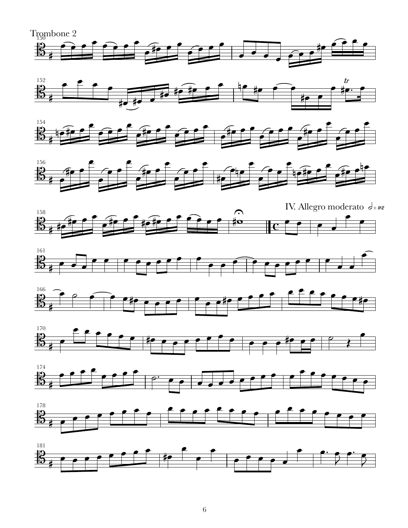![](_page_33_Figure_0.jpeg)

![](_page_33_Figure_1.jpeg)

![](_page_33_Figure_2.jpeg)

![](_page_33_Figure_3.jpeg)

![](_page_33_Figure_4.jpeg)

![](_page_33_Figure_5.jpeg)

![](_page_33_Figure_6.jpeg)

![](_page_33_Figure_7.jpeg)

![](_page_33_Figure_8.jpeg)

![](_page_33_Figure_9.jpeg)

![](_page_33_Figure_10.jpeg)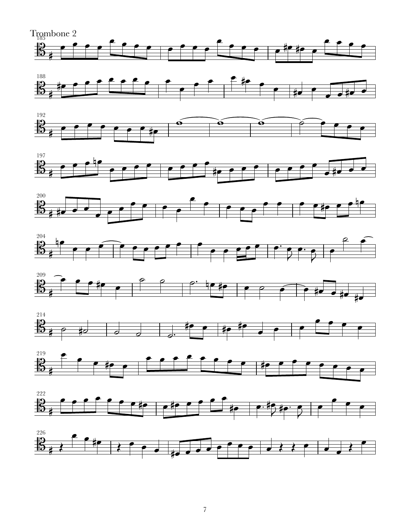![](_page_34_Figure_0.jpeg)

![](_page_34_Figure_1.jpeg)

![](_page_34_Figure_2.jpeg)

![](_page_34_Figure_3.jpeg)

![](_page_34_Figure_4.jpeg)

![](_page_34_Figure_5.jpeg)

![](_page_34_Figure_6.jpeg)

![](_page_34_Figure_7.jpeg)

![](_page_34_Figure_8.jpeg)

![](_page_34_Figure_9.jpeg)

![](_page_34_Figure_10.jpeg)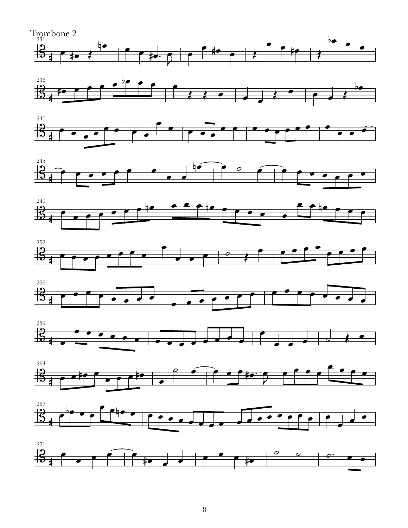![](_page_35_Figure_0.jpeg)

![](_page_35_Figure_1.jpeg)

![](_page_35_Figure_2.jpeg)

![](_page_35_Figure_3.jpeg)

![](_page_35_Figure_4.jpeg)

![](_page_35_Figure_5.jpeg)

![](_page_35_Figure_6.jpeg)

![](_page_35_Figure_7.jpeg)

![](_page_35_Figure_8.jpeg)

![](_page_35_Figure_9.jpeg)

![](_page_35_Figure_10.jpeg)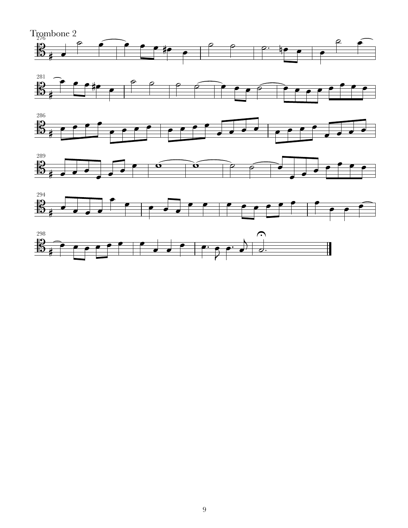![](_page_36_Figure_0.jpeg)

![](_page_36_Figure_1.jpeg)

![](_page_36_Figure_2.jpeg)

![](_page_36_Figure_3.jpeg)

![](_page_36_Figure_4.jpeg)

![](_page_36_Figure_5.jpeg)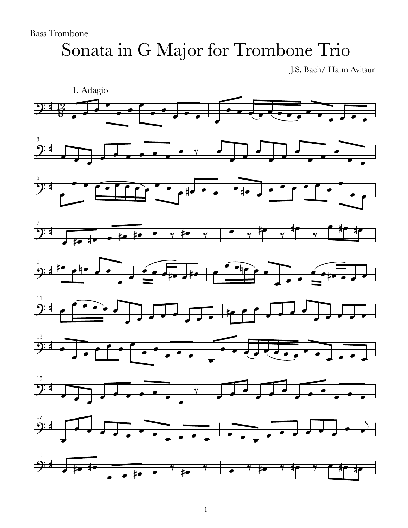**Bass Trombone** 

## Sonata in G Major for Trombone Trio

J.S. Bach/ Haim Avitsur

![](_page_37_Figure_3.jpeg)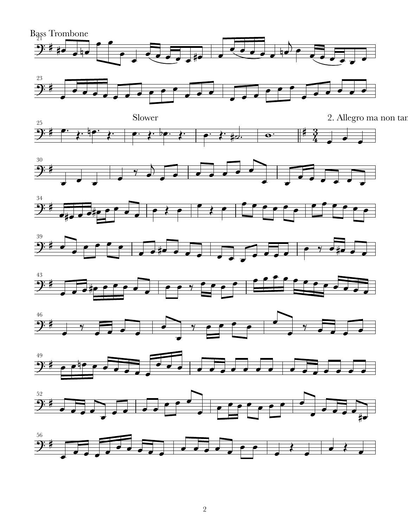![](_page_38_Figure_0.jpeg)

![](_page_38_Figure_1.jpeg)

![](_page_38_Figure_2.jpeg)

![](_page_38_Figure_3.jpeg)

![](_page_38_Figure_4.jpeg)

![](_page_38_Figure_5.jpeg)

![](_page_38_Figure_6.jpeg)

![](_page_38_Figure_7.jpeg)

![](_page_38_Figure_8.jpeg)

![](_page_38_Figure_9.jpeg)

![](_page_38_Figure_10.jpeg)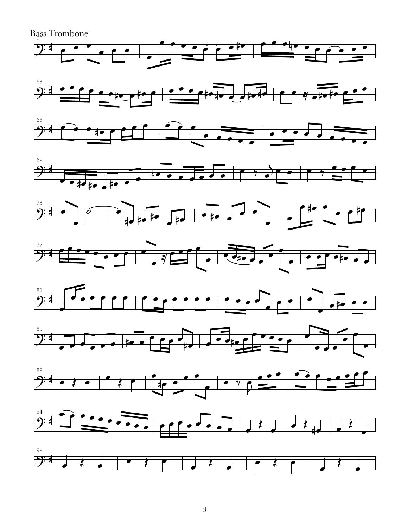![](_page_39_Figure_0.jpeg)

![](_page_39_Figure_1.jpeg)

![](_page_39_Figure_2.jpeg)

![](_page_39_Figure_3.jpeg)

![](_page_39_Figure_4.jpeg)

![](_page_39_Figure_5.jpeg)

![](_page_39_Figure_6.jpeg)

![](_page_39_Figure_7.jpeg)

![](_page_39_Figure_8.jpeg)

![](_page_39_Figure_9.jpeg)

![](_page_39_Figure_10.jpeg)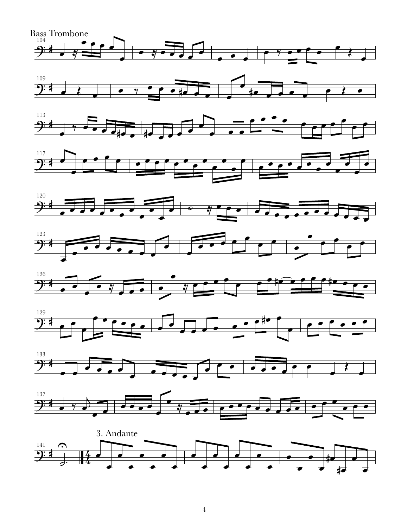![](_page_40_Figure_0.jpeg)

![](_page_40_Figure_1.jpeg)

![](_page_40_Figure_2.jpeg)

![](_page_40_Figure_3.jpeg)

![](_page_40_Figure_4.jpeg)

![](_page_40_Figure_5.jpeg)

![](_page_40_Figure_6.jpeg)

![](_page_40_Figure_7.jpeg)

![](_page_40_Figure_8.jpeg)

![](_page_40_Figure_9.jpeg)

![](_page_40_Figure_10.jpeg)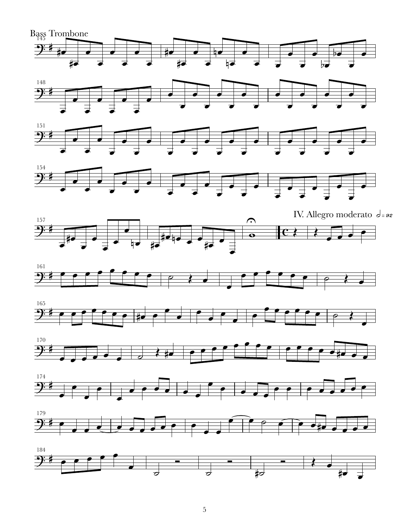![](_page_41_Figure_0.jpeg)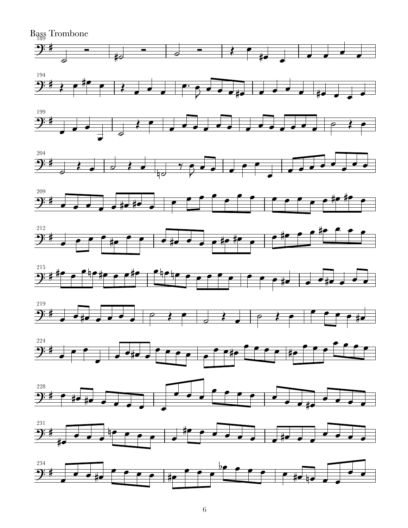![](_page_42_Figure_0.jpeg)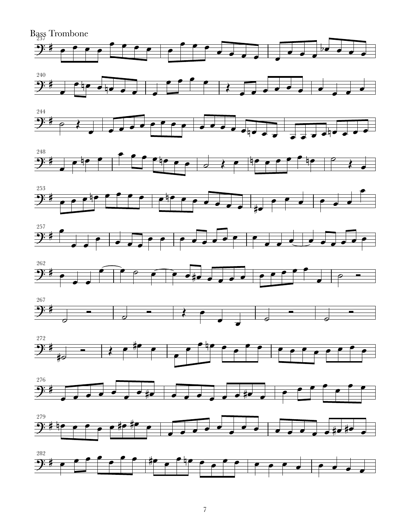![](_page_43_Figure_0.jpeg)

![](_page_43_Figure_1.jpeg)